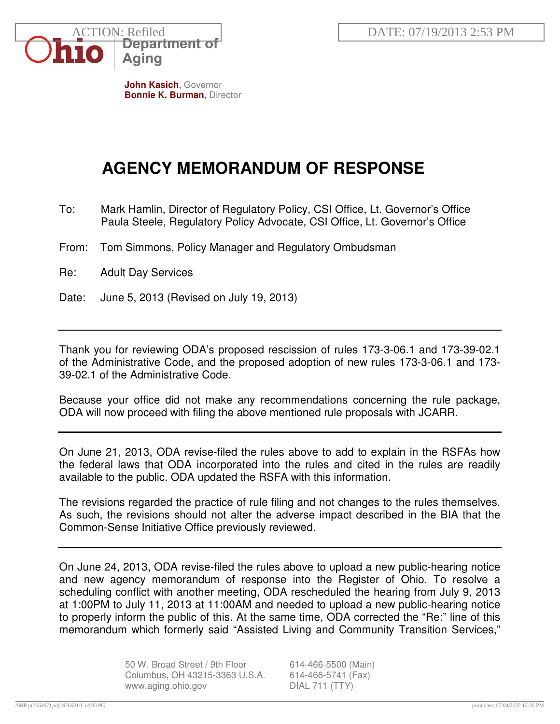

**John Kasich**, Governor **Bonnie K. Burman**, Director

## **AGENCY MEMORANDUM OF RESPONSE**

- To: Mark Hamlin, Director of Regulatory Policy, CSI Office, Lt. Governor's Office Paula Steele, Regulatory Policy Advocate, CSI Office, Lt. Governor's Office
- From: Tom Simmons, Policy Manager and Regulatory Ombudsman
- Re: Adult Day Services
- Date: June 5, 2013 (Revised on July 19, 2013)

Thank you for reviewing ODA's proposed rescission of rules 173-3-06.1 and 173-39-02.1 of the Administrative Code, and the proposed adoption of new rules 173-3-06.1 and 173- 39-02.1 of the Administrative Code.

Because your office did not make any recommendations concerning the rule package, ODA will now proceed with filing the above mentioned rule proposals with JCARR.

On June 21, 2013, ODA revise-filed the rules above to add to explain in the RSFAs how the federal laws that ODA incorporated into the rules and cited in the rules are readily available to the public. ODA updated the RSFA with this information.

The revisions regarded the practice of rule filing and not changes to the rules themselves. As such, the revisions should not alter the adverse impact described in the BIA that the Common-Sense Initiative Office previously reviewed.

On June 24, 2013, ODA revise-filed the rules above to upload a new public-hearing notice and new agency memorandum of response into the Register of Ohio. To resolve a scheduling conflict with another meeting, ODA rescheduled the hearing from July 9, 2013 at 1:00PM to July 11, 2013 at 11:00AM and needed to upload a new public-hearing notice to properly inform the public of this. At the same time, ODA corrected the "Re:" line of this memorandum which formerly said "Assisted Living and Community Transition Services,"

> 50 W. Broad Street / 9th Floor 614-466-5500 (Main) Columbus, OH 43215-3363 U.S.A. 614-466-5741 (Fax) www.aging.ohio.gov DIAL 711 (TTY)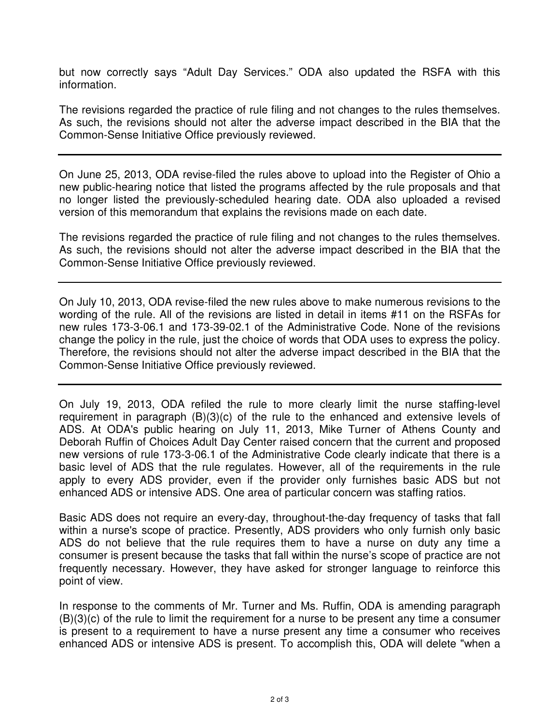but now correctly says "Adult Day Services." ODA also updated the RSFA with this information.

The revisions regarded the practice of rule filing and not changes to the rules themselves. As such, the revisions should not alter the adverse impact described in the BIA that the Common-Sense Initiative Office previously reviewed.

On June 25, 2013, ODA revise-filed the rules above to upload into the Register of Ohio a new public-hearing notice that listed the programs affected by the rule proposals and that no longer listed the previously-scheduled hearing date. ODA also uploaded a revised version of this memorandum that explains the revisions made on each date.

The revisions regarded the practice of rule filing and not changes to the rules themselves. As such, the revisions should not alter the adverse impact described in the BIA that the Common-Sense Initiative Office previously reviewed.

On July 10, 2013, ODA revise-filed the new rules above to make numerous revisions to the wording of the rule. All of the revisions are listed in detail in items #11 on the RSFAs for new rules 173-3-06.1 and 173-39-02.1 of the Administrative Code. None of the revisions change the policy in the rule, just the choice of words that ODA uses to express the policy. Therefore, the revisions should not alter the adverse impact described in the BIA that the Common-Sense Initiative Office previously reviewed.

On July 19, 2013, ODA refiled the rule to more clearly limit the nurse staffing-level requirement in paragraph (B)(3)(c) of the rule to the enhanced and extensive levels of ADS. At ODA's public hearing on July 11, 2013, Mike Turner of Athens County and Deborah Ruffin of Choices Adult Day Center raised concern that the current and proposed new versions of rule 173-3-06.1 of the Administrative Code clearly indicate that there is a basic level of ADS that the rule regulates. However, all of the requirements in the rule apply to every ADS provider, even if the provider only furnishes basic ADS but not enhanced ADS or intensive ADS. One area of particular concern was staffing ratios.

Basic ADS does not require an every-day, throughout-the-day frequency of tasks that fall within a nurse's scope of practice. Presently, ADS providers who only furnish only basic ADS do not believe that the rule requires them to have a nurse on duty any time a consumer is present because the tasks that fall within the nurse's scope of practice are not frequently necessary. However, they have asked for stronger language to reinforce this point of view.

In response to the comments of Mr. Turner and Ms. Ruffin, ODA is amending paragraph (B)(3)(c) of the rule to limit the requirement for a nurse to be present any time a consumer is present to a requirement to have a nurse present any time a consumer who receives enhanced ADS or intensive ADS is present. To accomplish this, ODA will delete "when a